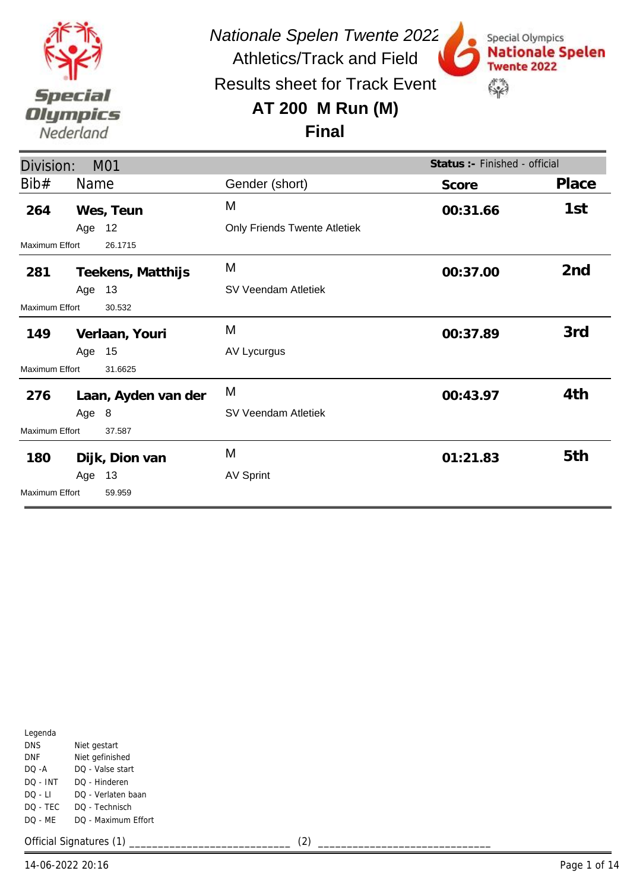

Results sheet for Track Event

## **AT 200 M Run (M)**



**Final**

| Division:<br>M01      |        |                     |                                     | Status :- Finished - official |                 |
|-----------------------|--------|---------------------|-------------------------------------|-------------------------------|-----------------|
| Bib#                  | Name   |                     | Gender (short)                      | Score                         | Place           |
| 264                   |        | Wes, Teun           | M                                   | 00:31.66                      | 1st             |
|                       | Age 12 |                     | <b>Only Friends Twente Atletiek</b> |                               |                 |
| Maximum Effort        |        | 26.1715             |                                     |                               |                 |
| 281                   |        | Teekens, Matthijs   | M                                   | 00:37.00                      | 2 <sub>nd</sub> |
|                       | Age 13 |                     | SV Veendam Atletiek                 |                               |                 |
| Maximum Effort        |        | 30.532              |                                     |                               |                 |
| 149                   |        | Verlaan, Youri      | M                                   | 00:37.89                      | 3rd             |
|                       | Age 15 |                     | AV Lycurgus                         |                               |                 |
| <b>Maximum Effort</b> |        | 31.6625             |                                     |                               |                 |
| 276                   |        | Laan, Ayden van der | M                                   | 00:43.97                      | 4th             |
|                       | Age 8  |                     | SV Veendam Atletiek                 |                               |                 |
| <b>Maximum Effort</b> |        | 37.587              |                                     |                               |                 |
| 180                   |        | Dijk, Dion van      | M                                   | 01:21.83                      | 5th             |
|                       | Age    | 13                  | <b>AV Sprint</b>                    |                               |                 |
| <b>Maximum Effort</b> |        | 59.959              |                                     |                               |                 |

| Legenda  |                     |
|----------|---------------------|
| DNS      | Niet gestart        |
| DNF      | Niet gefinished     |
| $DO - A$ | DO - Valse start    |
| DO - INT | DO - Hinderen       |
| DO - LI  | DO - Verlaten baan  |
| DO - TEC | DO - Technisch      |
| DO - MF  | DO - Maximum Effort |
|          |                     |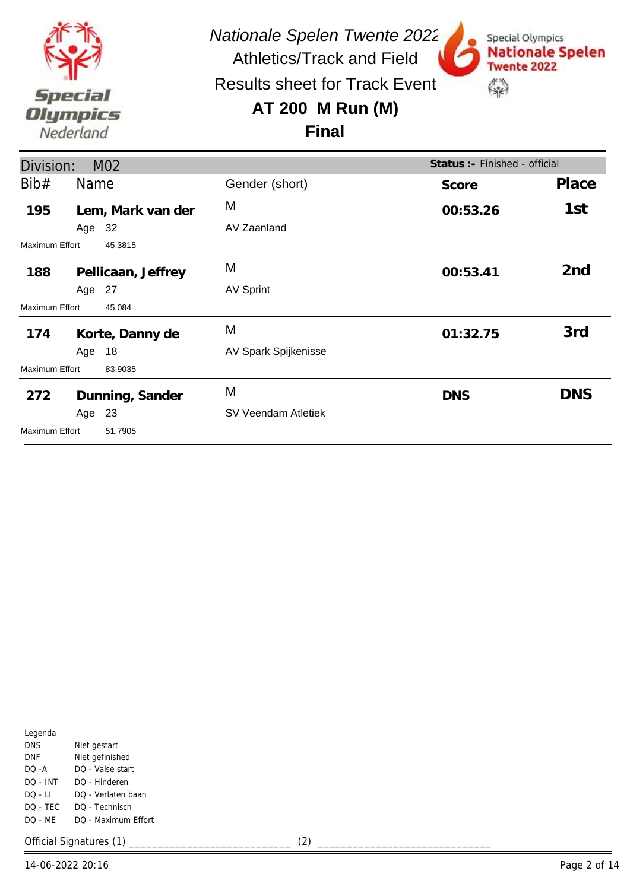

Special Olympics

**Twente 2022** 

 $\mathbb{S}^n$ 

**Nationale Spelen** 

Results sheet for Track Event

#### **AT 200 M Run (M)**

#### **Final**

| Division:      |        | M <sub>02</sub>    | Status :- Finished - official |            |                 |
|----------------|--------|--------------------|-------------------------------|------------|-----------------|
| Bib#           | Name   |                    | Gender (short)                | Score      | Place           |
| 195            |        | Lem, Mark van der  | M                             | 00:53.26   | 1st             |
|                | Age 32 |                    | AV Zaanland                   |            |                 |
| Maximum Effort |        | 45.3815            |                               |            |                 |
| 188            |        | Pellicaan, Jeffrey | M                             | 00:53.41   | 2 <sub>nd</sub> |
|                | Age 27 |                    | <b>AV Sprint</b>              |            |                 |
| Maximum Effort |        | 45.084             |                               |            |                 |
| 174            |        | Korte, Danny de    | M                             | 01:32.75   | 3rd             |
|                | Age 18 |                    | AV Spark Spijkenisse          |            |                 |
| Maximum Effort |        | 83.9035            |                               |            |                 |
| 272            |        | Dunning, Sander    | M                             | <b>DNS</b> | <b>DNS</b>      |
|                | Age    | 23                 | SV Veendam Atletiek           |            |                 |
| Maximum Effort |        | 51.7905            |                               |            |                 |

| Legenda    |                     |
|------------|---------------------|
| <b>DNS</b> | Niet gestart        |
| DNF        | Niet gefinished     |
| $DO - A$   | DO - Valse start    |
| DO - INT   | DO - Hinderen       |
| DO - LI    | DO - Verlaten baan  |
| DQ - TEC   | DO - Technisch      |
| DO - MF    | DO - Maximum Effort |
|            |                     |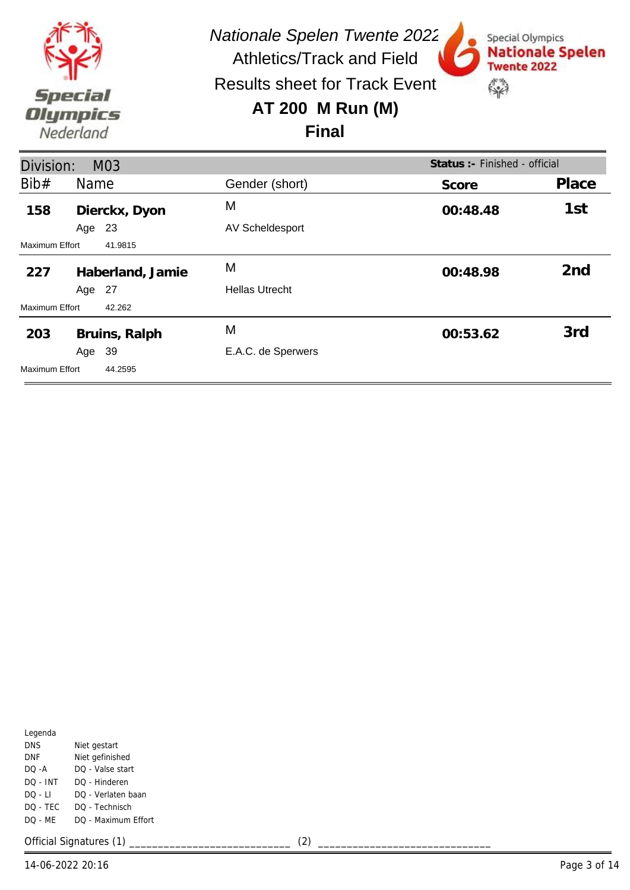

Special Olympics

**Twente 2022** 

 $\mathbb{S}^n$ 

**Nationale Spelen** 

Results sheet for Track Event

### **AT 200 M Run (M)**



| Status : - Finished - official<br>Division:<br>M03 |                  |                        |          |                 |  |
|----------------------------------------------------|------------------|------------------------|----------|-----------------|--|
| Bib#                                               | Name             | Gender (short)         | Score    | Place           |  |
| 158                                                | Dierckx, Dyon    | M                      | 00:48.48 | 1st             |  |
|                                                    | 23<br>Age        | <b>AV Scheldesport</b> |          |                 |  |
| <b>Maximum Effort</b><br>41.9815                   |                  |                        |          |                 |  |
| 227                                                | Haberland, Jamie | M                      | 00:48.98 | 2 <sub>nd</sub> |  |
|                                                    | Age 27           | <b>Hellas Utrecht</b>  |          |                 |  |
| Maximum Effort                                     | 42.262           |                        |          |                 |  |
| 203                                                | Bruins, Ralph    | M                      | 00:53.62 | 3rd             |  |
|                                                    | -39<br>Age       | E.A.C. de Sperwers     |          |                 |  |
| Maximum Effort                                     | 44.2595          |                        |          |                 |  |

| Legenda    |                     |
|------------|---------------------|
| <b>DNS</b> | Niet gestart        |
| DNF        | Niet gefinished     |
| DO -A      | DO - Valse start    |
| DO - INT   | DO - Hinderen       |
| DO - LI    | DO - Verlaten baan  |
| DO - TEC   | DO - Technisch      |
| DO - ME    | DO - Maximum Effort |
|            |                     |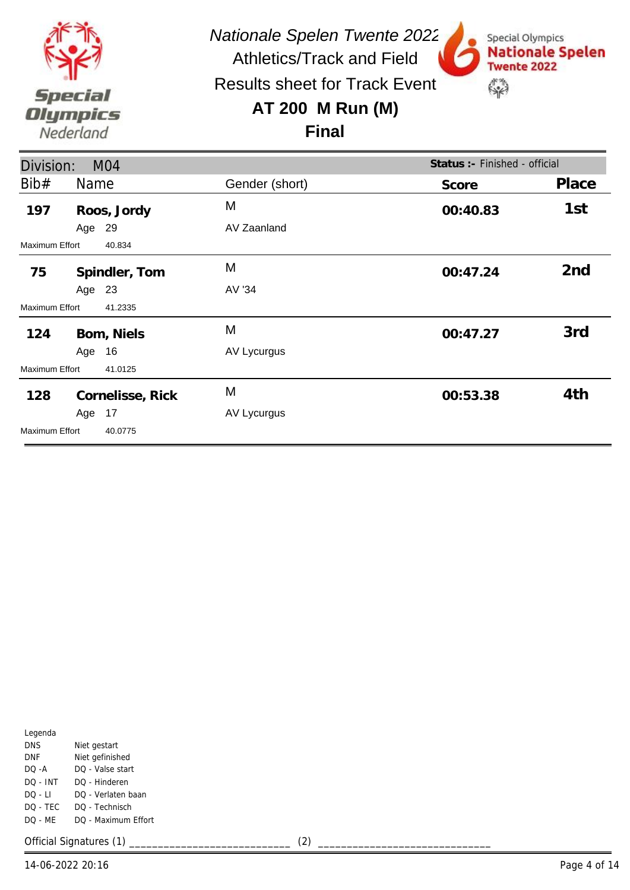

Special Olympics

**Twente 2022** 

 $\mathbb{S}^n$ 

**Nationale Spelen** 

Results sheet for Track Event

## **AT 200 M Run (M)**



| Division:<br>M <sub>04</sub> |        |                  |                | Status : - Finished - official |                 |
|------------------------------|--------|------------------|----------------|--------------------------------|-----------------|
| Bib#                         | Name   |                  | Gender (short) | Score                          | Place           |
| 197                          |        | Roos, Jordy      | M              | 00:40.83                       | 1st             |
|                              | Age    | 29               | AV Zaanland    |                                |                 |
| <b>Maximum Effort</b>        |        | 40.834           |                |                                |                 |
| 75                           |        | Spindler, Tom    | M              | 00:47.24                       | 2 <sub>nd</sub> |
|                              | Age 23 |                  | AV '34         |                                |                 |
| <b>Maximum Effort</b>        |        | 41.2335          |                |                                |                 |
| 124                          |        | Bom, Niels       | M              | 00:47.27                       | 3rd             |
|                              | Age 16 |                  | AV Lycurgus    |                                |                 |
| <b>Maximum Effort</b>        |        | 41.0125          |                |                                |                 |
| 128                          |        | Cornelisse, Rick | M              | 00:53.38                       | 4th             |
|                              | Age 17 |                  | AV Lycurgus    |                                |                 |
| <b>Maximum Effort</b>        |        | 40.0775          |                |                                |                 |

| Legenda    |                     |
|------------|---------------------|
| <b>DNS</b> | Niet gestart        |
| DNF        | Niet gefinished     |
| DO -A      | DO - Valse start    |
| DO - INT   | DO - Hinderen       |
| DO - LI    | DO - Verlaten baan  |
| DQ - TEC   | DO - Technisch      |
| DO - MF    | DO - Maximum Effort |
|            |                     |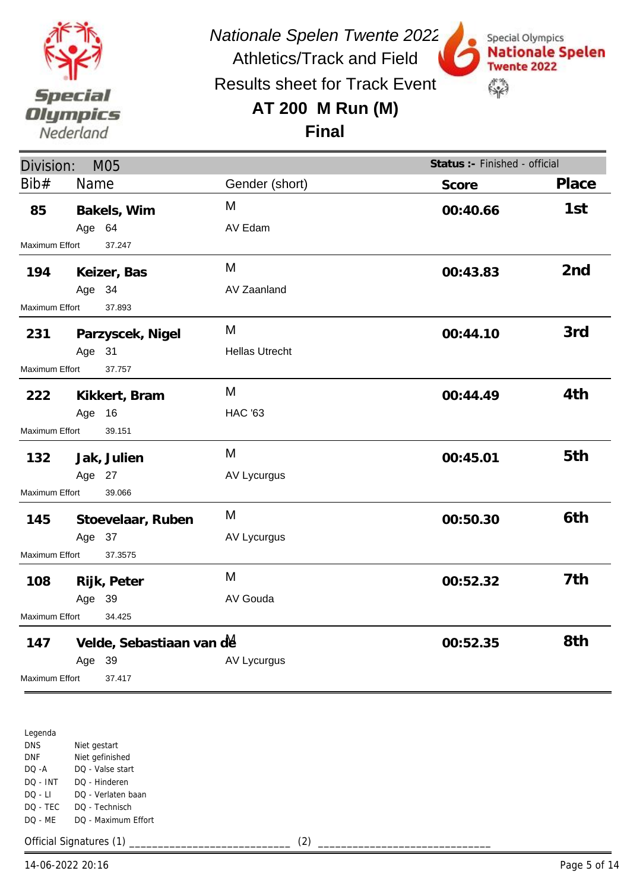

Special Olympics

**Twente 2022** 

 $\mathbb{S}^n$ 

**Nationale Spelen** 

Results sheet for Track Event

Athletics/Track and Field

## **AT 200 M Run (M)**

#### **Final**

| Division:<br>M05 |        |                          |                       | Status :- Finished - official |                 |
|------------------|--------|--------------------------|-----------------------|-------------------------------|-----------------|
| Bib#             | Name   |                          | Gender (short)        | Score                         | Place           |
| 85               |        | Bakels, Wim              | M                     | 00:40.66                      | 1st             |
|                  | Age 64 |                          | AV Edam               |                               |                 |
| Maximum Effort   |        | 37.247                   |                       |                               |                 |
| 194              |        | Keizer, Bas              | M                     | 00:43.83                      | 2 <sub>nd</sub> |
|                  | Age 34 |                          | AV Zaanland           |                               |                 |
| Maximum Effort   |        | 37.893                   |                       |                               |                 |
| 231              |        | Parzyscek, Nigel         | M                     | 00:44.10                      | 3rd             |
|                  | Age 31 |                          | <b>Hellas Utrecht</b> |                               |                 |
| Maximum Effort   |        | 37.757                   |                       |                               |                 |
| 222              |        | Kikkert, Bram            | M                     | 00:44.49                      | 4th             |
|                  | Age    | 16                       | <b>HAC '63</b>        |                               |                 |
| Maximum Effort   |        | 39.151                   |                       |                               |                 |
| 132              |        | Jak, Julien              | M                     | 00:45.01                      | 5th             |
|                  | Age 27 |                          | AV Lycurgus           |                               |                 |
| Maximum Effort   |        | 39.066                   |                       |                               |                 |
| 145              |        | Stoevelaar, Ruben        | M                     | 00:50.30                      | 6th             |
|                  | Age 37 |                          | AV Lycurgus           |                               |                 |
| Maximum Effort   |        | 37.3575                  |                       |                               |                 |
| 108              |        | Rijk, Peter              | M                     | 00:52.32                      | 7th             |
|                  | Age 39 |                          | AV Gouda              |                               |                 |
| Maximum Effort   |        | 34.425                   |                       |                               |                 |
| 147              |        | Velde, Sebastiaan van de |                       | 00:52.35                      | 8th             |
|                  | Age 39 |                          | AV Lycurgus           |                               |                 |
| Maximum Effort   |        | 37.417                   |                       |                               |                 |

Legenda DNS DNF DQ -A DQ - INT DQ - LI DQ - TEC DQ - ME Niet gestart Niet gefinished DQ - Valse start DQ - Hinderen DQ - Verlaten baan DQ - Technisch DQ - Maximum Effort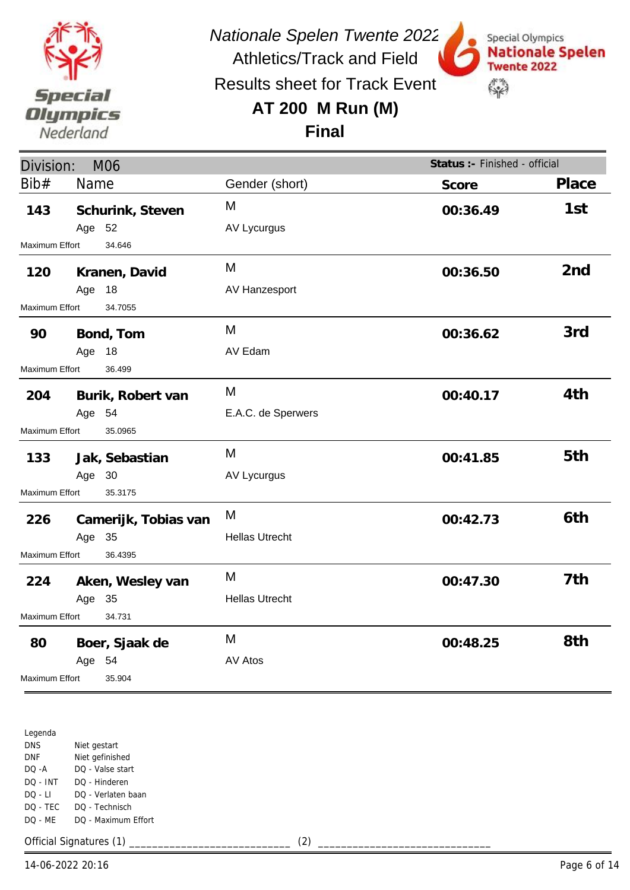

Results sheet for Track Event

Athletics/Track and Field

# **AT 200 M Run (M)**



**Final**

| Division:<br><b>M06</b>  |                      |                       | Status :- Finished - official |                 |
|--------------------------|----------------------|-----------------------|-------------------------------|-----------------|
| Bib#                     | Name                 | Gender (short)        | Score                         | Place           |
| 143                      | Schurink, Steven     | M                     | 00:36.49                      | 1st             |
|                          | Age 52               | AV Lycurgus           |                               |                 |
| Maximum Effort           | 34.646               |                       |                               |                 |
| 120                      | Kranen, David        | M                     | 00:36.50                      | 2 <sub>nd</sub> |
|                          | Age 18               | AV Hanzesport         |                               |                 |
| Maximum Effort           | 34.7055              |                       |                               |                 |
| 90                       | Bond, Tom            | M                     | 00:36.62                      | 3rd             |
|                          | Age 18               | AV Edam               |                               |                 |
| Maximum Effort           | 36.499               |                       |                               |                 |
| 204                      | Burik, Robert van    | M                     | 00:40.17                      | 4th             |
|                          | Age 54               | E.A.C. de Sperwers    |                               |                 |
| <b>Maximum Effort</b>    | 35.0965              |                       |                               |                 |
| 133                      | Jak, Sebastian       | M                     | 00:41.85                      | 5th             |
|                          | Age 30               | <b>AV Lycurgus</b>    |                               |                 |
| Maximum Effort           | 35.3175              |                       |                               |                 |
| 226                      | Camerijk, Tobias van | M                     | 00:42.73                      | 6th             |
|                          | Age 35               | <b>Hellas Utrecht</b> |                               |                 |
| Maximum Effort           | 36.4395              |                       |                               |                 |
| 224                      | Aken, Wesley van     | M                     | 00:47.30                      | 7th             |
|                          | Age 35               | <b>Hellas Utrecht</b> |                               |                 |
| Maximum Effort<br>34.731 |                      |                       |                               |                 |
| 80                       | Boer, Sjaak de       | M                     | 00:48.25                      | 8th             |
|                          | Age 54               | <b>AV Atos</b>        |                               |                 |
| Maximum Effort           | 35.904               |                       |                               |                 |

Legenda DNS DNF DQ -A DQ - INT DQ - LI DQ - TEC DQ - ME Niet gestart Niet gefinished DQ - Valse start DQ - Hinderen DQ - Verlaten baan DQ - Technisch DQ - Maximum Effort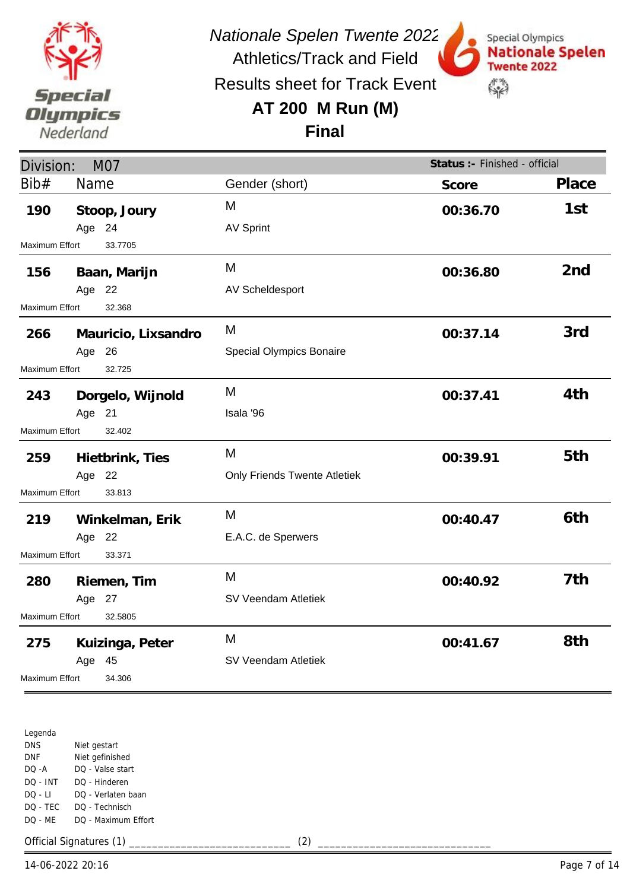

Results sheet for Track Event

Athletics/Track and Field

# **AT 200 M Run (M)**



**Final**

| Division:<br><b>M07</b> |                     |                              | Status :- Finished - official |                 |
|-------------------------|---------------------|------------------------------|-------------------------------|-----------------|
| Bib#                    | Name                | Gender (short)               | Score                         | Place           |
| 190                     | Stoop, Joury        | M                            | 00:36.70                      | 1st             |
|                         | Age 24              | <b>AV Sprint</b>             |                               |                 |
| Maximum Effort          | 33.7705             |                              |                               |                 |
| 156                     | Baan, Marijn        | M                            | 00:36.80                      | 2 <sub>nd</sub> |
|                         | Age 22              | <b>AV Scheldesport</b>       |                               |                 |
| Maximum Effort          | 32.368              |                              |                               |                 |
| 266                     | Mauricio, Lixsandro | M                            | 00:37.14                      | 3rd             |
|                         | Age 26              | Special Olympics Bonaire     |                               |                 |
| <b>Maximum Effort</b>   | 32.725              |                              |                               |                 |
| 243                     | Dorgelo, Wijnold    | M                            | 00:37.41                      | 4th             |
|                         | Age 21              | Isala '96                    |                               |                 |
| <b>Maximum Effort</b>   | 32.402              |                              |                               |                 |
| 259                     | Hietbrink, Ties     | M                            | 00:39.91                      | 5th             |
|                         | Age 22              | Only Friends Twente Atletiek |                               |                 |
| Maximum Effort          | 33.813              |                              |                               |                 |
| 219                     | Winkelman, Erik     | M                            | 00:40.47                      | 6th             |
|                         | Age 22              | E.A.C. de Sperwers           |                               |                 |
| Maximum Effort          | 33.371              |                              |                               |                 |
| 280                     | Riemen, Tim         | M                            | 00:40.92                      | 7th             |
|                         | Age 27              | SV Veendam Atletiek          |                               |                 |
| Maximum Effort          | 32.5805             |                              |                               |                 |
| 275                     | Kuizinga, Peter     | M                            | 00:41.67                      | 8th             |
|                         | Age 45              | SV Veendam Atletiek          |                               |                 |
| Maximum Effort          | 34.306              |                              |                               |                 |

Legenda DNS DNF DQ -A DQ - INT DQ - LI DQ - TEC DQ - ME Niet gestart Niet gefinished DQ - Valse start DQ - Hinderen DQ - Verlaten baan DQ - Technisch DQ - Maximum Effort

Official Signatures (1) \_\_\_\_\_\_\_\_\_\_\_\_\_\_\_\_\_\_\_\_\_\_\_\_\_\_\_\_ (2) \_\_\_\_\_\_\_\_\_\_\_\_\_\_\_\_\_\_\_\_\_\_\_\_\_\_\_\_\_\_

14-06-2022 20:16 Page 7 of 14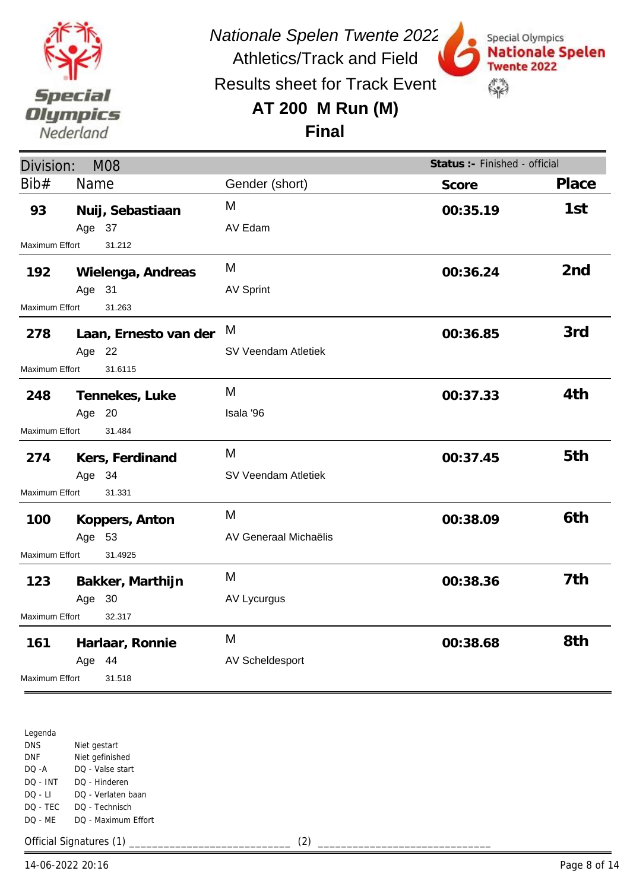

Special Olympics

**Twente 2022** 

 $\mathbb{S}^n$ 

**Nationale Spelen** 

Athletics/Track and Field Results sheet for Track Event

## **AT 200 M Run (M)**



| Score    | Place                                                                                                 |
|----------|-------------------------------------------------------------------------------------------------------|
| 00:35.19 | 1st                                                                                                   |
|          |                                                                                                       |
|          |                                                                                                       |
| 00:36.24 | 2 <sub>nd</sub>                                                                                       |
|          |                                                                                                       |
|          |                                                                                                       |
|          | 3rd                                                                                                   |
|          |                                                                                                       |
|          |                                                                                                       |
|          | 4th                                                                                                   |
|          |                                                                                                       |
|          |                                                                                                       |
|          | 5th                                                                                                   |
|          |                                                                                                       |
|          |                                                                                                       |
|          | 6th                                                                                                   |
|          |                                                                                                       |
|          |                                                                                                       |
|          | 7th                                                                                                   |
|          |                                                                                                       |
|          |                                                                                                       |
|          | 8th                                                                                                   |
|          |                                                                                                       |
|          |                                                                                                       |
|          | Status :- Finished - official<br>00:36.85<br>00:37.33<br>00:37.45<br>00:38.09<br>00:38.36<br>00:38.68 |

Legenda DNS DNF DQ -A DQ - INT DQ - LI DQ - TEC DQ - ME Niet gestart Niet gefinished DQ - Valse start DQ - Hinderen DQ - Verlaten baan DQ - Technisch DQ - Maximum Effort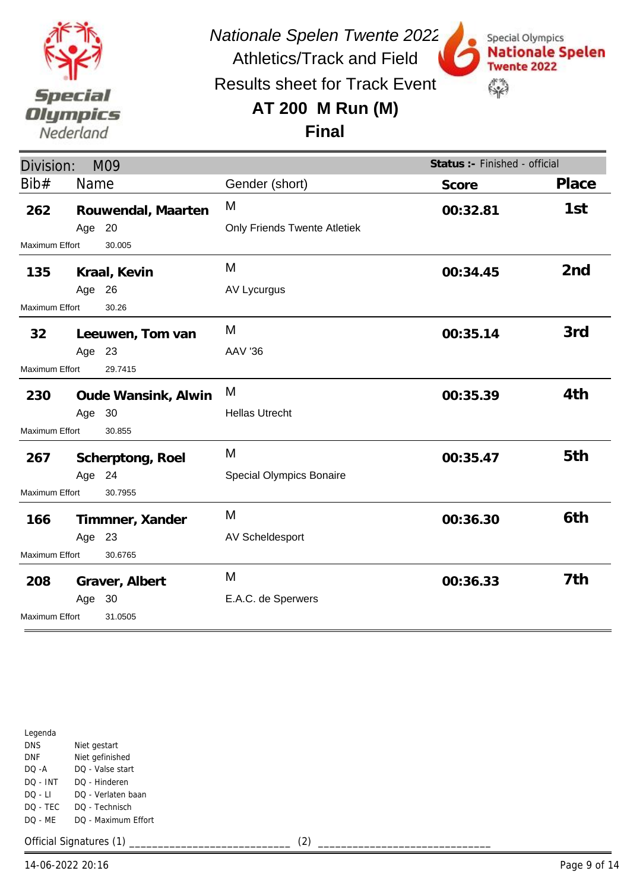

Special Olympics

**Twente 2022** 

 $\mathbb{S}^n$ 

**Nationale Spelen** 

Results sheet for Track Event

### **AT 200 M Run (M)**

**Final**

| Division:                        |                  | M09                 |                                     | Status :- Finished - official |                 |
|----------------------------------|------------------|---------------------|-------------------------------------|-------------------------------|-----------------|
| Bib#                             | Name             |                     | Gender (short)                      | Score                         | Place           |
| 262                              |                  | Rouwendal, Maarten  | M                                   | 00:32.81                      | 1st             |
|                                  | Age 20           |                     | <b>Only Friends Twente Atletiek</b> |                               |                 |
| Maximum Effort                   |                  | 30.005              |                                     |                               |                 |
| 135                              |                  | Kraal, Kevin        | M                                   | 00:34.45                      | 2 <sub>nd</sub> |
|                                  | Age 26           |                     | AV Lycurgus                         |                               |                 |
| <b>Maximum Effort</b>            |                  | 30.26               |                                     |                               |                 |
| 32                               |                  | Leeuwen, Tom van    | M                                   | 00:35.14                      | 3rd             |
|                                  | Age 23           |                     | <b>AAV '36</b>                      |                               |                 |
| <b>Maximum Effort</b><br>29.7415 |                  |                     |                                     |                               |                 |
| 230                              |                  | Oude Wansink, Alwin | M                                   | 00:35.39                      | 4th             |
|                                  | Age 30           |                     | <b>Hellas Utrecht</b>               |                               |                 |
| Maximum Effort<br>30.855         |                  |                     |                                     |                               |                 |
| 267                              | Scherptong, Roel |                     | M                                   | 00:35.47                      | 5th             |
|                                  | Age 24           |                     | Special Olympics Bonaire            |                               |                 |
| <b>Maximum Effort</b>            |                  | 30.7955             |                                     |                               |                 |
| 166                              |                  | Timmner, Xander     | M                                   | 00:36.30                      | 6th             |
|                                  | Age 23           |                     | AV Scheldesport                     |                               |                 |
| Maximum Effort<br>30.6765        |                  |                     |                                     |                               |                 |
| 208                              |                  | Graver, Albert      | M                                   | 00:36.33                      | 7th             |
|                                  | Age 30           |                     | E.A.C. de Sperwers                  |                               |                 |
| Maximum Effort<br>31.0505        |                  |                     |                                     |                               |                 |

| Legenda  |                     |
|----------|---------------------|
| DNS      | Niet gestart        |
| DNF      | Niet gefinished     |
| DO -A    | DO - Valse start    |
| DO - INT | DO - Hinderen       |
| DO - LI  | DO - Verlaten baan  |
| DO - TEC | DO - Technisch      |
| DO - MF  | DO - Maximum Effort |
|          |                     |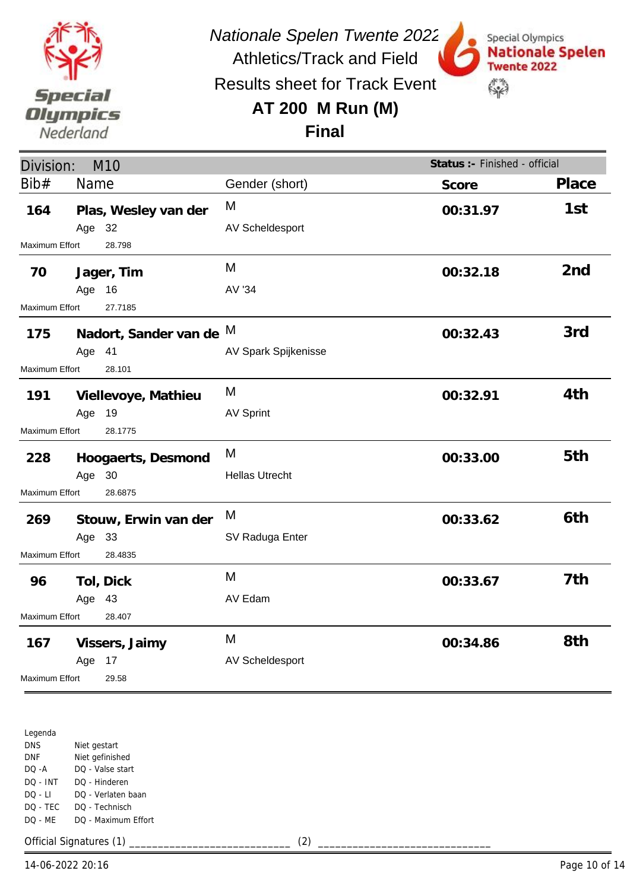

Special Olympics

**Twente 2022** 

 $\mathbb{S}^n$ 

**Nationale Spelen** 

Results sheet for Track Event

Athletics/Track and Field

#### **AT 200 M Run (M)**

**Final**

| Division:                 |        | M10                     |                       | Status :- Finished - official |                 |
|---------------------------|--------|-------------------------|-----------------------|-------------------------------|-----------------|
| Bib#                      | Name   |                         | Gender (short)        | Score                         | Place           |
| 164                       |        | Plas, Wesley van der    | M                     | 00:31.97                      | 1st             |
|                           | Age 32 |                         | AV Scheldesport       |                               |                 |
| Maximum Effort            |        | 28.798                  |                       |                               |                 |
| 70                        |        | Jager, Tim              | M                     | 00:32.18                      | 2 <sub>nd</sub> |
|                           | Age    | 16                      | AV '34                |                               |                 |
| <b>Maximum Effort</b>     |        | 27.7185                 |                       |                               |                 |
| 175                       |        | Nadort, Sander van de M |                       | 00:32.43                      | 3rd             |
|                           | Age 41 |                         | AV Spark Spijkenisse  |                               |                 |
| <b>Maximum Effort</b>     |        | 28.101                  |                       |                               |                 |
| 191                       |        | Viellevoye, Mathieu     | M                     | 00:32.91                      | 4th             |
|                           | Age    | 19                      | <b>AV Sprint</b>      |                               |                 |
| Maximum Effort<br>28.1775 |        |                         |                       |                               |                 |
| 228                       |        | Hoogaerts, Desmond      | M                     | 00:33.00                      | 5th             |
|                           | Age 30 |                         | <b>Hellas Utrecht</b> |                               |                 |
| Maximum Effort<br>28.6875 |        |                         |                       |                               |                 |
| 269                       |        | Stouw, Erwin van der    | M                     | 00:33.62                      | 6th             |
|                           | Age 33 |                         | SV Raduga Enter       |                               |                 |
| Maximum Effort            |        | 28.4835                 |                       |                               |                 |
| 96                        |        | Tol, Dick               | M                     | 00:33.67                      | 7th             |
|                           | Age 43 |                         | AV Edam               |                               |                 |
| Maximum Effort            |        | 28.407                  |                       |                               |                 |
| 167                       |        | Vissers, Jaimy          | M                     | 00:34.86                      | 8th             |
|                           | Age    | 17                      | AV Scheldesport       |                               |                 |
| Maximum Effort<br>29.58   |        |                         |                       |                               |                 |

Legenda DNS DNF DQ -A DQ - INT DQ - LI DQ - TEC DQ - ME Niet gestart Niet gefinished DQ - Valse start DQ - Hinderen DQ - Verlaten baan DQ - Technisch DQ - Maximum Effort

Official Signatures (1) \_\_\_\_\_\_\_\_\_\_\_\_\_\_\_\_\_\_\_\_\_\_\_\_\_\_\_\_ (2) \_\_\_\_\_\_\_\_\_\_\_\_\_\_\_\_\_\_\_\_\_\_\_\_\_\_\_\_\_\_

14-06-2022 20:16 Page 10 of 14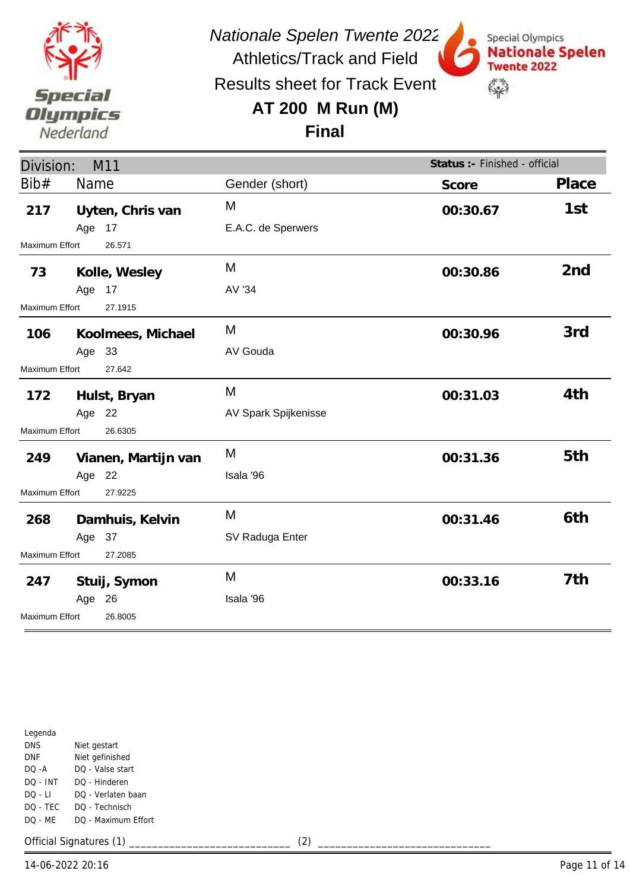

Special Olympics

**Twente 2022** 

 $\mathbb{S}^n$ 

**Nationale Spelen** 

Results sheet for Track Event

### **AT 200 M Run (M)**

#### **Final**

| Division:<br>M11         |        |                     |                      | Status :- Finished - official |                 |
|--------------------------|--------|---------------------|----------------------|-------------------------------|-----------------|
| Bib#                     | Name   |                     | Gender (short)       | Score                         | Place           |
| 217                      |        | Uyten, Chris van    | M                    | 00:30.67                      | 1st             |
|                          | Age 17 |                     | E.A.C. de Sperwers   |                               |                 |
| <b>Maximum Effort</b>    |        | 26.571              |                      |                               |                 |
| 73                       |        | Kolle, Wesley       | M                    | 00:30.86                      | 2 <sub>nd</sub> |
|                          | Age 17 |                     | AV '34               |                               |                 |
| Maximum Effort           |        | 27.1915             |                      |                               |                 |
| 106                      |        | Koolmees, Michael   | M                    | 00:30.96                      | 3rd             |
|                          | Age 33 |                     | AV Gouda             |                               |                 |
| 27.642<br>Maximum Effort |        |                     |                      |                               |                 |
| 172                      |        | Hulst, Bryan        | M                    | 00:31.03                      | 4th             |
|                          | Age 22 |                     | AV Spark Spijkenisse |                               |                 |
| Maximum Effort           |        | 26.6305             |                      |                               |                 |
| 249                      |        | Vianen, Martijn van | M                    | 00:31.36                      | 5th             |
|                          | Age 22 |                     | Isala '96            |                               |                 |
| Maximum Effort           |        | 27.9225             |                      |                               |                 |
| 268                      |        | Damhuis, Kelvin     | M                    | 00:31.46                      | 6th             |
|                          | Age 37 |                     | SV Raduga Enter      |                               |                 |
| Maximum Effort           |        | 27.2085             |                      |                               |                 |
| 247                      |        | Stuij, Symon        | M                    | 00:33.16                      | 7th             |
|                          | Age 26 |                     | Isala '96            |                               |                 |
| Maximum Effort           |        | 26.8005             |                      |                               |                 |

| Legenda    |                     |
|------------|---------------------|
| <b>DNS</b> | Niet gestart        |
| DNF        | Niet gefinished     |
| DO -A      | DO - Valse start    |
| DO - INT   | DO - Hinderen       |
| $DO - LI$  | DO - Verlaten baan  |
| DO - TEC   | DO - Technisch      |
| DQ - MF    | DO - Maximum Effort |
|            |                     |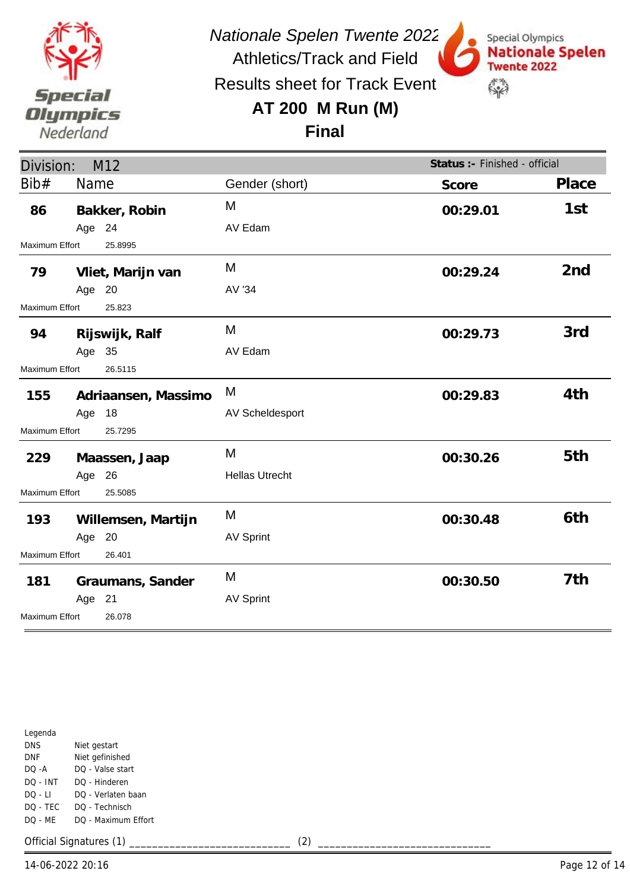

Special Olympics

**Twente 2022** 

 $\mathbb{S}^n$ 

**Nationale Spelen** 

Results sheet for Track Event

## **AT 200 M Run (M)**



| Division:                 |        | M <sub>12</sub>     |                       | Status :- Finished - official |                 |
|---------------------------|--------|---------------------|-----------------------|-------------------------------|-----------------|
| Bib#                      | Name   |                     | Gender (short)        | Score                         | Place           |
| 86                        |        | Bakker, Robin       | M                     | 00:29.01                      | 1st             |
|                           | Age 24 |                     | AV Edam               |                               |                 |
| Maximum Effort            |        | 25.8995             |                       |                               |                 |
| 79                        |        | Vliet, Marijn van   | M                     | 00:29.24                      | 2 <sub>nd</sub> |
|                           | Age 20 |                     | AV '34                |                               |                 |
| Maximum Effort            |        | 25.823              |                       |                               |                 |
| 94                        |        | Rijswijk, Ralf      | M                     | 00:29.73                      | 3rd             |
|                           | Age 35 |                     | AV Edam               |                               |                 |
| 26.5115<br>Maximum Effort |        |                     |                       |                               |                 |
| 155                       |        | Adriaansen, Massimo | M                     | 00:29.83                      | 4th             |
|                           | Age    | 18                  | AV Scheldesport       |                               |                 |
| Maximum Effort            |        | 25.7295             |                       |                               |                 |
| 229                       |        | Maassen, Jaap       | M                     | 00:30.26                      | 5th             |
|                           | Age 26 |                     | <b>Hellas Utrecht</b> |                               |                 |
| Maximum Effort            |        | 25.5085             |                       |                               |                 |
| 193                       |        | Willemsen, Martijn  | M                     | 00:30.48                      | 6th             |
|                           | Age 20 |                     | <b>AV Sprint</b>      |                               |                 |
| Maximum Effort<br>26.401  |        |                     |                       |                               |                 |
| 181                       |        | Graumans, Sander    | M                     | 00:30.50                      | 7th             |
|                           | Age 21 |                     | <b>AV Sprint</b>      |                               |                 |
| Maximum Effort            |        | 26.078              |                       |                               |                 |

| Legenda    |                     |
|------------|---------------------|
| <b>DNS</b> | Niet gestart        |
| DNF        | Niet gefinished     |
| DO -A      | DO - Valse start    |
| DO - INT   | DO - Hinderen       |
| DO - LI    | DO - Verlaten baan  |
| DO - TEC   | DO - Technisch      |
| DO - MF    | DO - Maximum Effort |
|            |                     |

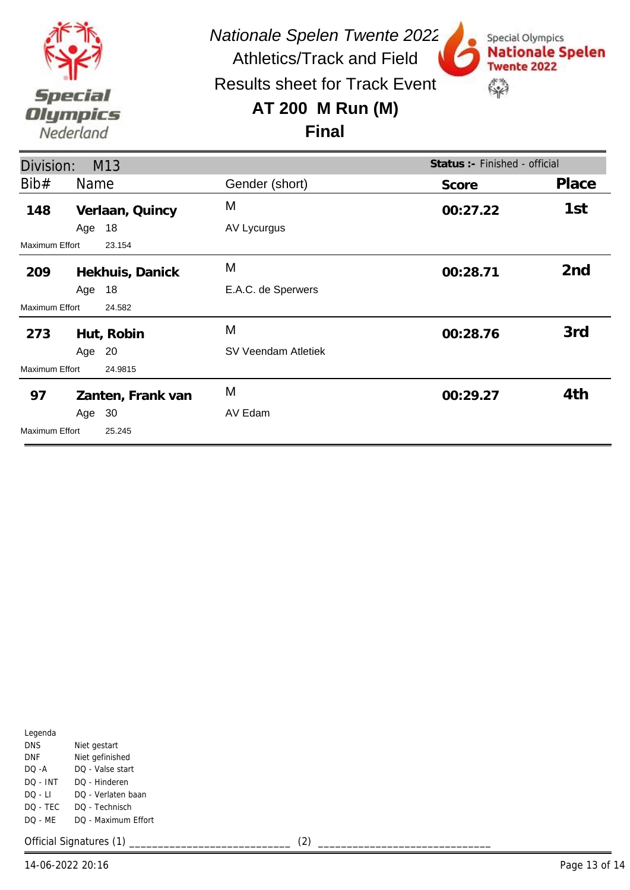

Special Olympics

**Twente 2022** 

 $\mathbb{S}^n$ 

**Nationale Spelen** 

Results sheet for Track Event

## **AT 200 M Run (M)**

#### **Final**

| Division:                |        | M13               |                     | Status : - Finished - official |                 |
|--------------------------|--------|-------------------|---------------------|--------------------------------|-----------------|
| Bib#                     | Name   |                   | Gender (short)      | Score                          | Place           |
| 148                      |        | Verlaan, Quincy   | M                   | 00:27.22                       | 1st             |
|                          | Age 18 |                   | AV Lycurgus         |                                |                 |
| Maximum Effort           |        | 23.154            |                     |                                |                 |
| 209                      |        | Hekhuis, Danick   | M                   | 00:28.71                       | 2 <sub>nd</sub> |
|                          | Age    | 18                | E.A.C. de Sperwers  |                                |                 |
| Maximum Effort           |        | 24.582            |                     |                                |                 |
| 273                      |        | Hut, Robin        | M                   | 00:28.76                       | 3rd             |
|                          | Age 20 |                   | SV Veendam Atletiek |                                |                 |
| Maximum Effort           |        | 24.9815           |                     |                                |                 |
| 97                       |        | Zanten, Frank van | M                   | 00:29.27                       | 4th             |
|                          | Age 30 |                   | AV Edam             |                                |                 |
| Maximum Effort<br>25.245 |        |                   |                     |                                |                 |

| Legenda  |                     |
|----------|---------------------|
| DNS      | Niet gestart        |
| DNF      | Niet gefinished     |
| DO -A    | DO - Valse start    |
| DO - INT | DO - Hinderen       |
| DO - LI  | DO - Verlaten baan  |
| DO - TEC | DO - Technisch      |
| DO - MF  | DO - Maximum Effort |
|          |                     |